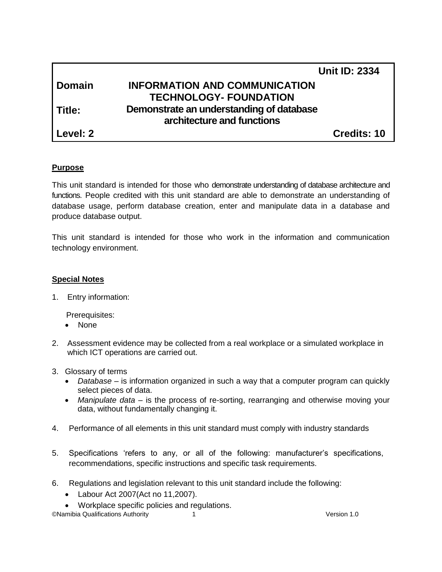|               | <b>Unit ID: 2334</b>                     |  |
|---------------|------------------------------------------|--|
| <b>Domain</b> | <b>INFORMATION AND COMMUNICATION</b>     |  |
|               | <b>TECHNOLOGY- FOUNDATION</b>            |  |
| Title:        | Demonstrate an understanding of database |  |
|               | architecture and functions               |  |
| Level: 2      | <b>Credits: 10</b>                       |  |

## **Purpose**

This unit standard is intended for those who demonstrate understanding of database architecture and functions. People credited with this unit standard are able to demonstrate an understanding of database usage, perform database creation, enter and manipulate data in a database and produce database output.

This unit standard is intended for those who work in the information and communication technology environment.

## **Special Notes**

1. Entry information:

Prerequisites:

- None
- 2. Assessment evidence may be collected from a real workplace or a simulated workplace in which ICT operations are carried out.
- 3. Glossary of terms
	- *Database –* is information organized in such a way that a computer program can quickly select pieces of data.
	- *Manipulate data –* is the process of re-sorting, rearranging and otherwise moving your data, without fundamentally changing it.
- 4. Performance of all elements in this unit standard must comply with industry standards
- 5. Specifications 'refers to any, or all of the following: manufacturer's specifications, recommendations, specific instructions and specific task requirements.
- 6. Regulations and legislation relevant to this unit standard include the following:
	- Labour Act 2007(Act no 11,2007).
	- Workplace specific policies and regulations.

©Namibia Qualifications Authority 1 Version 1.0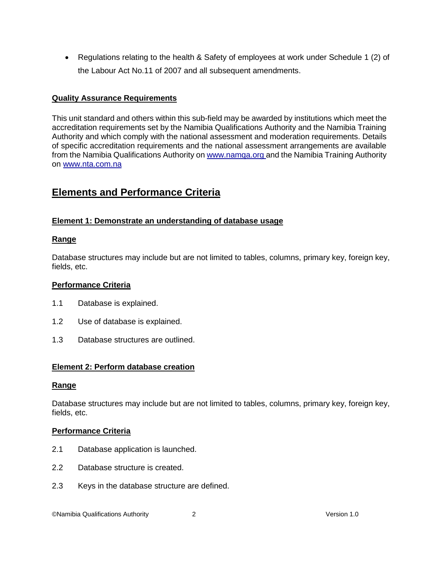• Regulations relating to the health & Safety of employees at work under Schedule 1 (2) of the Labour Act No.11 of 2007 and all subsequent amendments.

## **Quality Assurance Requirements**

This unit standard and others within this sub-field may be awarded by institutions which meet the accreditation requirements set by the Namibia Qualifications Authority and the Namibia Training Authority and which comply with the national assessment and moderation requirements. Details of specific accreditation requirements and the national assessment arrangements are available from the Namibia Qualifications Authority o[n www.namqa.org a](http://www.namqa.org/)nd the Namibia Training Authority on [www.nta.com.na](http://www.nta.com.na/)

# **Elements and Performance Criteria**

## **Element 1: Demonstrate an understanding of database usage**

#### **Range**

Database structures may include but are not limited to tables, columns, primary key, foreign key, fields, etc.

## **Performance Criteria**

- 1.1 Database is explained.
- 1.2 Use of database is explained.
- 1.3 Database structures are outlined.

## **Element 2: Perform database creation**

#### **Range**

Database structures may include but are not limited to tables, columns, primary key, foreign key, fields, etc.

## **Performance Criteria**

- 2.1 Database application is launched.
- 2.2 Database structure is created.
- 2.3 Keys in the database structure are defined.

©Namibia Qualifications Authority 2 Version 1.0